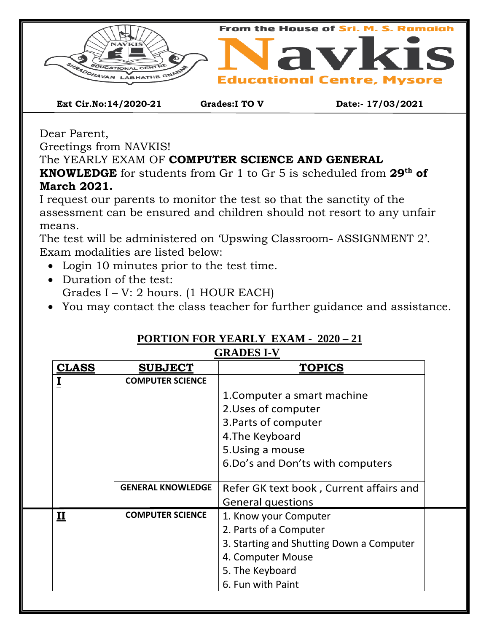



**Ext Cir.No:14/2020-21 Grades:I TO V Date:- 17/03/2021**

Dear Parent,

Greetings from NAVKIS!

The YEARLY EXAM OF **COMPUTER SCIENCE AND GENERAL** 

**KNOWLEDGE** for students from Gr 1 to Gr 5 is scheduled from **29th of March 2021.**

I request our parents to monitor the test so that the sanctity of the assessment can be ensured and children should not resort to any unfair means.

The test will be administered on 'Upswing Classroom- ASSIGNMENT 2'. Exam modalities are listed below:

- Login 10 minutes prior to the test time.
- Duration of the test: Grades I – V: 2 hours. (1 HOUR EACH)
- You may contact the class teacher for further guidance and assistance.

| <b>CLASS</b>            | <b>SUBJECT</b>           | <b>TOPICS</b>                            |  |  |  |
|-------------------------|--------------------------|------------------------------------------|--|--|--|
|                         | <b>COMPUTER SCIENCE</b>  |                                          |  |  |  |
|                         |                          | 1. Computer a smart machine              |  |  |  |
|                         |                          | 2. Uses of computer                      |  |  |  |
|                         |                          | 3. Parts of computer                     |  |  |  |
|                         |                          | 4. The Keyboard                          |  |  |  |
|                         |                          | 5. Using a mouse                         |  |  |  |
|                         |                          | 6. Do's and Don'ts with computers        |  |  |  |
|                         |                          |                                          |  |  |  |
|                         | <b>GENERAL KNOWLEDGE</b> | Refer GK text book, Current affairs and  |  |  |  |
|                         |                          | <b>General questions</b>                 |  |  |  |
| $\overline{\mathbf{u}}$ | <b>COMPUTER SCIENCE</b>  | 1. Know your Computer                    |  |  |  |
|                         |                          | 2. Parts of a Computer                   |  |  |  |
|                         |                          | 3. Starting and Shutting Down a Computer |  |  |  |
|                         |                          | 4. Computer Mouse                        |  |  |  |
|                         |                          | 5. The Keyboard                          |  |  |  |
|                         |                          | 6. Fun with Paint                        |  |  |  |

## **PORTION FOR YEARLY EXAM - 2020 – 21**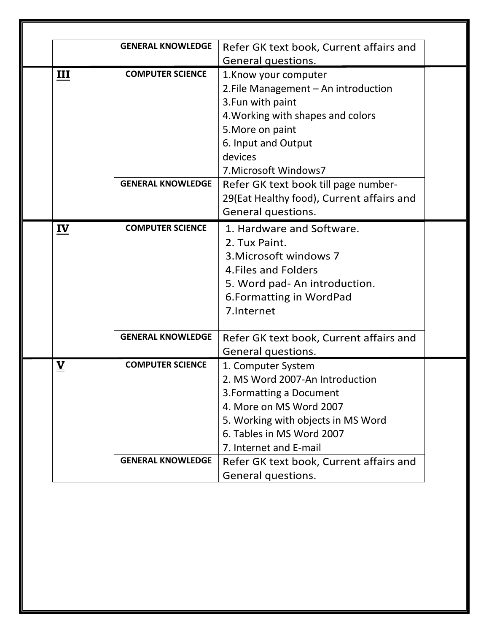|                           | <b>GENERAL KNOWLEDGE</b>                         | Refer GK text book, Current affairs and   |  |  |
|---------------------------|--------------------------------------------------|-------------------------------------------|--|--|
|                           |                                                  | General questions.                        |  |  |
| Ш                         | <b>COMPUTER SCIENCE</b><br>1. Know your computer |                                           |  |  |
|                           |                                                  | 2. File Management - An introduction      |  |  |
|                           |                                                  | 3. Fun with paint                         |  |  |
|                           |                                                  | 4. Working with shapes and colors         |  |  |
|                           |                                                  | 5. More on paint                          |  |  |
|                           |                                                  | 6. Input and Output                       |  |  |
|                           |                                                  | devices                                   |  |  |
|                           |                                                  | 7. Microsoft Windows7                     |  |  |
|                           | <b>GENERAL KNOWLEDGE</b>                         | Refer GK text book till page number-      |  |  |
|                           |                                                  | 29(Eat Healthy food), Current affairs and |  |  |
|                           |                                                  | General questions.                        |  |  |
| $\underline{\mathbf{IV}}$ | <b>COMPUTER SCIENCE</b>                          | 1. Hardware and Software.                 |  |  |
|                           |                                                  | 2. Tux Paint.                             |  |  |
|                           |                                                  | 3. Microsoft windows 7                    |  |  |
|                           |                                                  | 4. Files and Folders                      |  |  |
|                           |                                                  | 5. Word pad- An introduction.             |  |  |
|                           |                                                  | 6. Formatting in WordPad                  |  |  |
|                           |                                                  | 7.Internet                                |  |  |
|                           |                                                  |                                           |  |  |
|                           | <b>GENERAL KNOWLEDGE</b>                         | Refer GK text book, Current affairs and   |  |  |
|                           |                                                  | General questions.                        |  |  |
| $\underline{\mathbf{V}}$  | <b>COMPUTER SCIENCE</b>                          | 1. Computer System                        |  |  |
|                           |                                                  | 2. MS Word 2007-An Introduction           |  |  |
|                           |                                                  | 3. Formatting a Document                  |  |  |
|                           |                                                  | 4. More on MS Word 2007                   |  |  |
|                           |                                                  | 5. Working with objects in MS Word        |  |  |
|                           |                                                  | 6. Tables in MS Word 2007                 |  |  |
|                           |                                                  | 7. Internet and E-mail                    |  |  |
|                           | <b>GENERAL KNOWLEDGE</b>                         | Refer GK text book, Current affairs and   |  |  |
|                           |                                                  | General questions.                        |  |  |